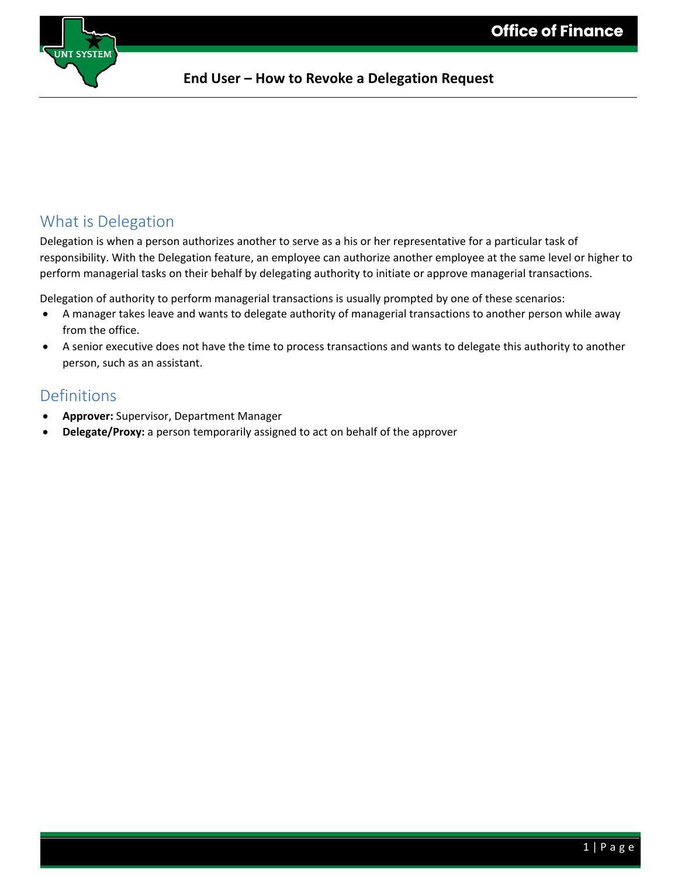

### What is Delegation

Delegation is when a person authorizes another to serve as a his or her representative for a particular task of responsibility. With the Delegation feature, an employee can authorize another employee at the same level or higher to perform managerial tasks on their behalf by delegating authority to initiate or approve managerial transactions.

Delegation of authority to perform managerial transactions is usually prompted by one of these scenarios:

- A manager takes leave and wants to delegate authority of managerial transactions to another person while away from the office.
- A senior executive does not have the time to process transactions and wants to delegate this authority to another person, such as an assistant.

#### Definitions

- **Approver:** Supervisor, Department Manager
- **Delegate/Proxy:** a person temporarily assigned to act on behalf of the approver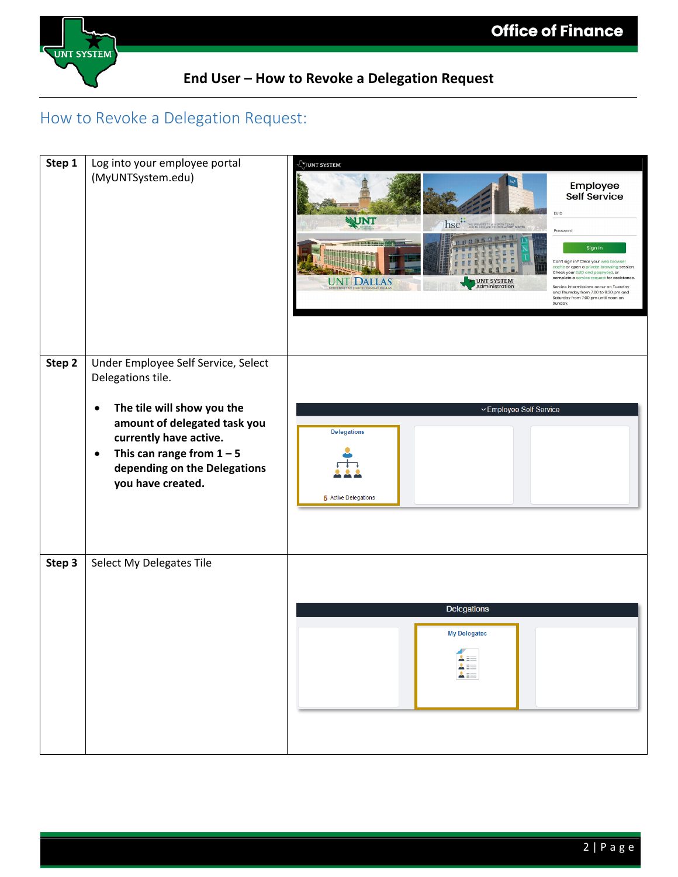

# How to Revoke a Delegation Request:

| Step 1 | Log into your employee portal<br>(MyUNTSystem.edu)                                                                                                                                                                                                             | JUNT SYSTEM<br>Employee<br>Self Service<br><b>EUID</b><br>WNT<br><b>hsc<sup>##</sup></b> THE UNIVERSITY of NORTH TEXAS<br>Password<br>Sign in<br>Can't sign in? Clear your web brows<br>cache or open a private browsing session.<br>Check your EUID and password, or<br>complete a service request for assistance<br><b>UNT DALLAS</b><br>UNT SYSTEM<br>Administration<br>Service intermissions occur on Tuesday<br>and Thursday from 7:00 to 9:30 pm and<br>Saturday from 7:00 pm until noon on<br>Sunday. |
|--------|----------------------------------------------------------------------------------------------------------------------------------------------------------------------------------------------------------------------------------------------------------------|--------------------------------------------------------------------------------------------------------------------------------------------------------------------------------------------------------------------------------------------------------------------------------------------------------------------------------------------------------------------------------------------------------------------------------------------------------------------------------------------------------------|
| Step 2 | Under Employee Self Service, Select<br>Delegations tile.<br>The tile will show you the<br>$\bullet$<br>amount of delegated task you<br>currently have active.<br>This can range from $1 - 5$<br>$\bullet$<br>depending on the Delegations<br>you have created. | ~Employee Self Service<br><b>Delegations</b><br>5 Active Delegations                                                                                                                                                                                                                                                                                                                                                                                                                                         |
| Step 3 | Select My Delegates Tile                                                                                                                                                                                                                                       | Delegations<br><b>My Delegates</b><br>$\begin{array}{c}\n\mathbf{1} \\ \mathbf{2} \\ \mathbf{3} \\ \mathbf{4}\n\end{array}$                                                                                                                                                                                                                                                                                                                                                                                  |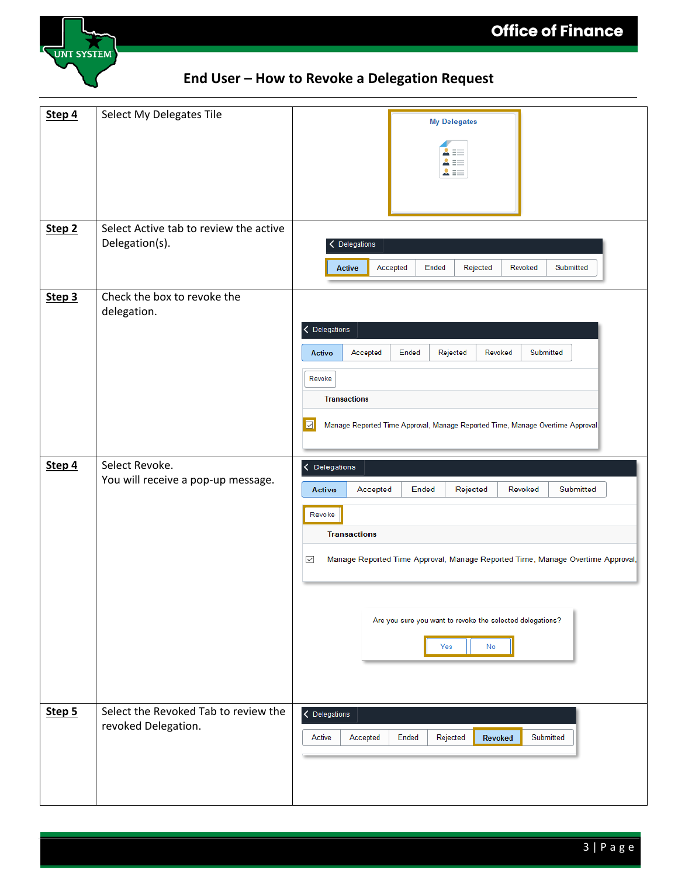

| Step 4            | Select My Delegates Tile                                    | <b>My Delegates</b><br>$\equiv$<br>Ξ                                                                                                                                                                                                                                                                        |
|-------------------|-------------------------------------------------------------|-------------------------------------------------------------------------------------------------------------------------------------------------------------------------------------------------------------------------------------------------------------------------------------------------------------|
| Step <sub>2</sub> | Select Active tab to review the active<br>Delegation(s).    | Delegations<br><b>Active</b><br>Accepted<br>Ended<br>Rejected<br>Revoked<br>Submitted                                                                                                                                                                                                                       |
| Step 3            | Check the box to revoke the<br>delegation.                  | < Delegations<br>Accepted<br>Ended<br>Rejected<br>Revoked<br>Submitted<br><b>Active</b><br>Revoke<br><b>Transactions</b><br>$\boxed{\triangledown}$<br>Manage Reported Time Approval, Manage Reported Time, Manage Overtime Approval,                                                                       |
| Step 4            | Select Revoke.<br>You will receive a pop-up message.        | < Delegations<br>Ended<br>Rejected<br>Revoked<br>Submitted<br><b>Active</b><br>Accepted<br>Revoke<br><b>Transactions</b><br>Manage Reported Time Approval, Manage Reported Time, Manage Overtime Approval,<br>$\overline{\smile}$<br>Are you sure you want to revoke the selected delegations?<br>Yes<br>No |
| Step 5            | Select the Revoked Tab to review the<br>revoked Delegation. | $\langle$ Delegations<br>Ended<br>Rejected<br>Submitted<br>Active<br>Accepted<br>Revoked                                                                                                                                                                                                                    |